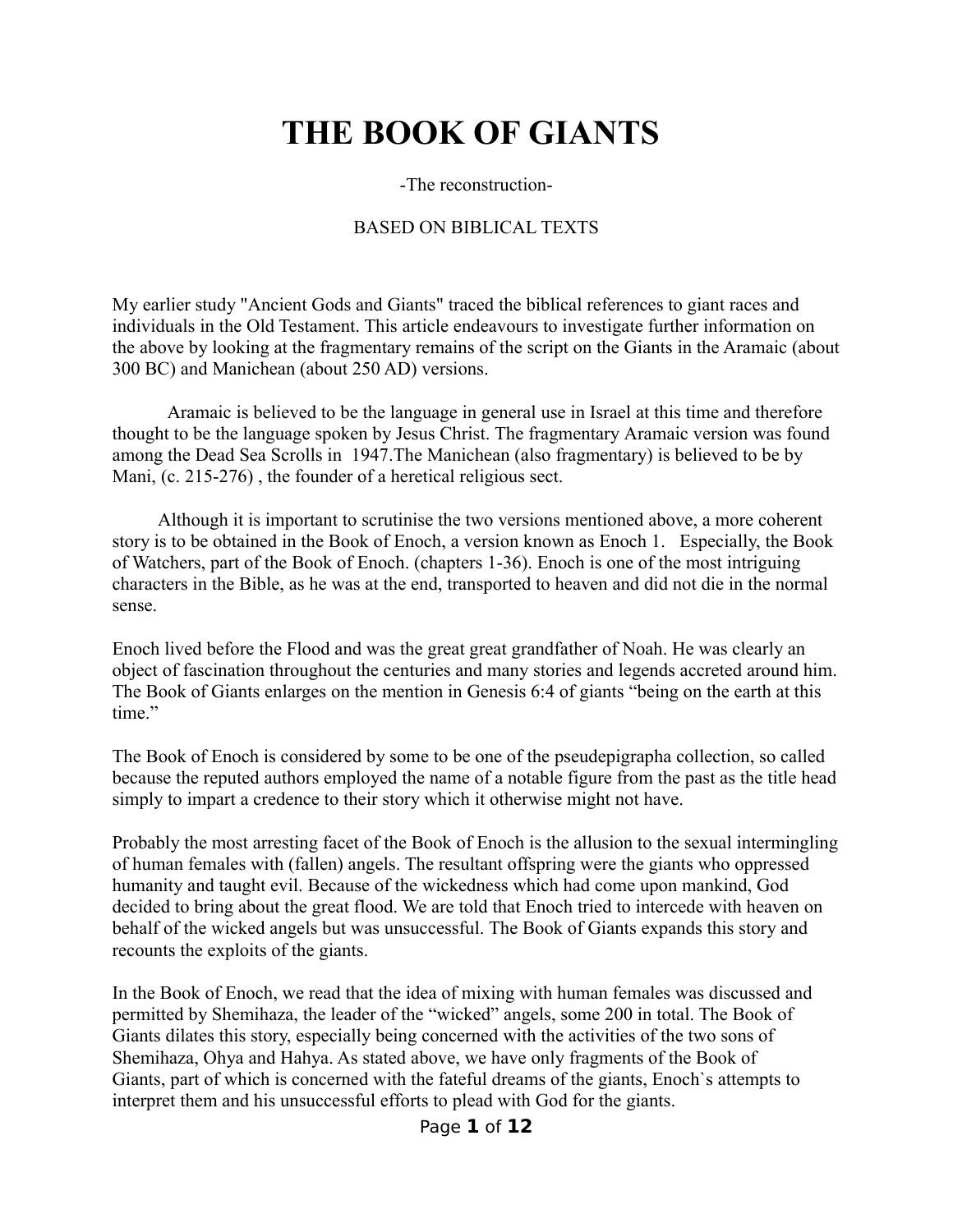# **THE BOOK OF GIANTS**

-The reconstruction-

# BASED ON BIBLICAL TEXTS

My earlier study "Ancient Gods and Giants" traced the biblical references to giant races and individuals in the Old Testament. This article endeavours to investigate further information on the above by looking at the fragmentary remains of the script on the Giants in the Aramaic (about 300 BC) and Manichean (about 250 AD) versions.

Aramaic is believed to be the language in general use in Israel at this time and therefore thought to be the language spoken by Jesus Christ. The fragmentary Aramaic version was found among the Dead Sea Scrolls in 1947.The Manichean (also fragmentary) is believed to be by Mani, (c. 215-276) , the founder of a heretical religious sect.

Although it is important to scrutinise the two versions mentioned above, a more coherent story is to be obtained in the Book of Enoch, a version known as Enoch 1. Especially, the Book of Watchers, part of the Book of Enoch. (chapters 1-36). Enoch is one of the most intriguing characters in the Bible, as he was at the end, transported to heaven and did not die in the normal sense.

Enoch lived before the Flood and was the great great grandfather of Noah. He was clearly an object of fascination throughout the centuries and many stories and legends accreted around him. The Book of Giants enlarges on the mention in Genesis 6:4 of giants "being on the earth at this time."

The Book of Enoch is considered by some to be one of the pseudepigrapha collection, so called because the reputed authors employed the name of a notable figure from the past as the title head simply to impart a credence to their story which it otherwise might not have.

Probably the most arresting facet of the Book of Enoch is the allusion to the sexual intermingling of human females with (fallen) angels. The resultant offspring were the giants who oppressed humanity and taught evil. Because of the wickedness which had come upon mankind, God decided to bring about the great flood. We are told that Enoch tried to intercede with heaven on behalf of the wicked angels but was unsuccessful. The Book of Giants expands this story and recounts the exploits of the giants.

In the Book of Enoch, we read that the idea of mixing with human females was discussed and permitted by Shemihaza, the leader of the "wicked" angels, some 200 in total. The Book of Giants dilates this story, especially being concerned with the activities of the two sons of Shemihaza, Ohya and Hahya. As stated above, we have only fragments of the Book of Giants, part of which is concerned with the fateful dreams of the giants, Enoch`s attempts to interpret them and his unsuccessful efforts to plead with God for the giants.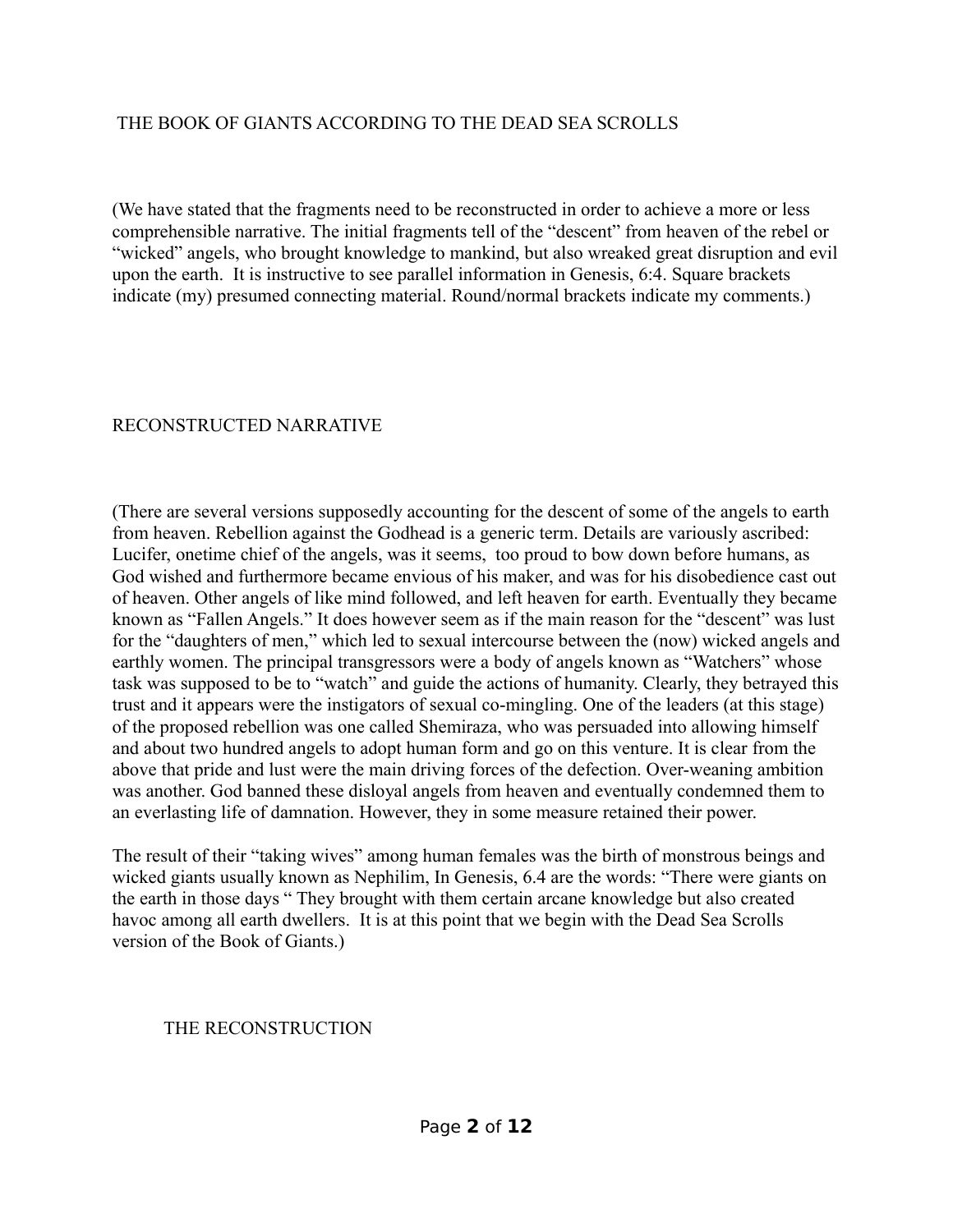# THE BOOK OF GIANTS ACCORDING TO THE DEAD SEA SCROLLS

(We have stated that the fragments need to be reconstructed in order to achieve a more or less comprehensible narrative. The initial fragments tell of the "descent" from heaven of the rebel or "wicked" angels, who brought knowledge to mankind, but also wreaked great disruption and evil upon the earth. It is instructive to see parallel information in Genesis, 6:4. Square brackets indicate (my) presumed connecting material. Round/normal brackets indicate my comments.)

# RECONSTRUCTED NARRATIVE

(There are several versions supposedly accounting for the descent of some of the angels to earth from heaven. Rebellion against the Godhead is a generic term. Details are variously ascribed: Lucifer, onetime chief of the angels, was it seems, too proud to bow down before humans, as God wished and furthermore became envious of his maker, and was for his disobedience cast out of heaven. Other angels of like mind followed, and left heaven for earth. Eventually they became known as "Fallen Angels." It does however seem as if the main reason for the "descent" was lust for the "daughters of men," which led to sexual intercourse between the (now) wicked angels and earthly women. The principal transgressors were a body of angels known as "Watchers" whose task was supposed to be to "watch" and guide the actions of humanity. Clearly, they betrayed this trust and it appears were the instigators of sexual co-mingling. One of the leaders (at this stage) of the proposed rebellion was one called Shemiraza, who was persuaded into allowing himself and about two hundred angels to adopt human form and go on this venture. It is clear from the above that pride and lust were the main driving forces of the defection. Over-weaning ambition was another. God banned these disloyal angels from heaven and eventually condemned them to an everlasting life of damnation. However, they in some measure retained their power.

The result of their "taking wives" among human females was the birth of monstrous beings and wicked giants usually known as Nephilim, In Genesis, 6.4 are the words: "There were giants on the earth in those days " They brought with them certain arcane knowledge but also created havoc among all earth dwellers. It is at this point that we begin with the Dead Sea Scrolls version of the Book of Giants.)

#### THE RECONSTRUCTION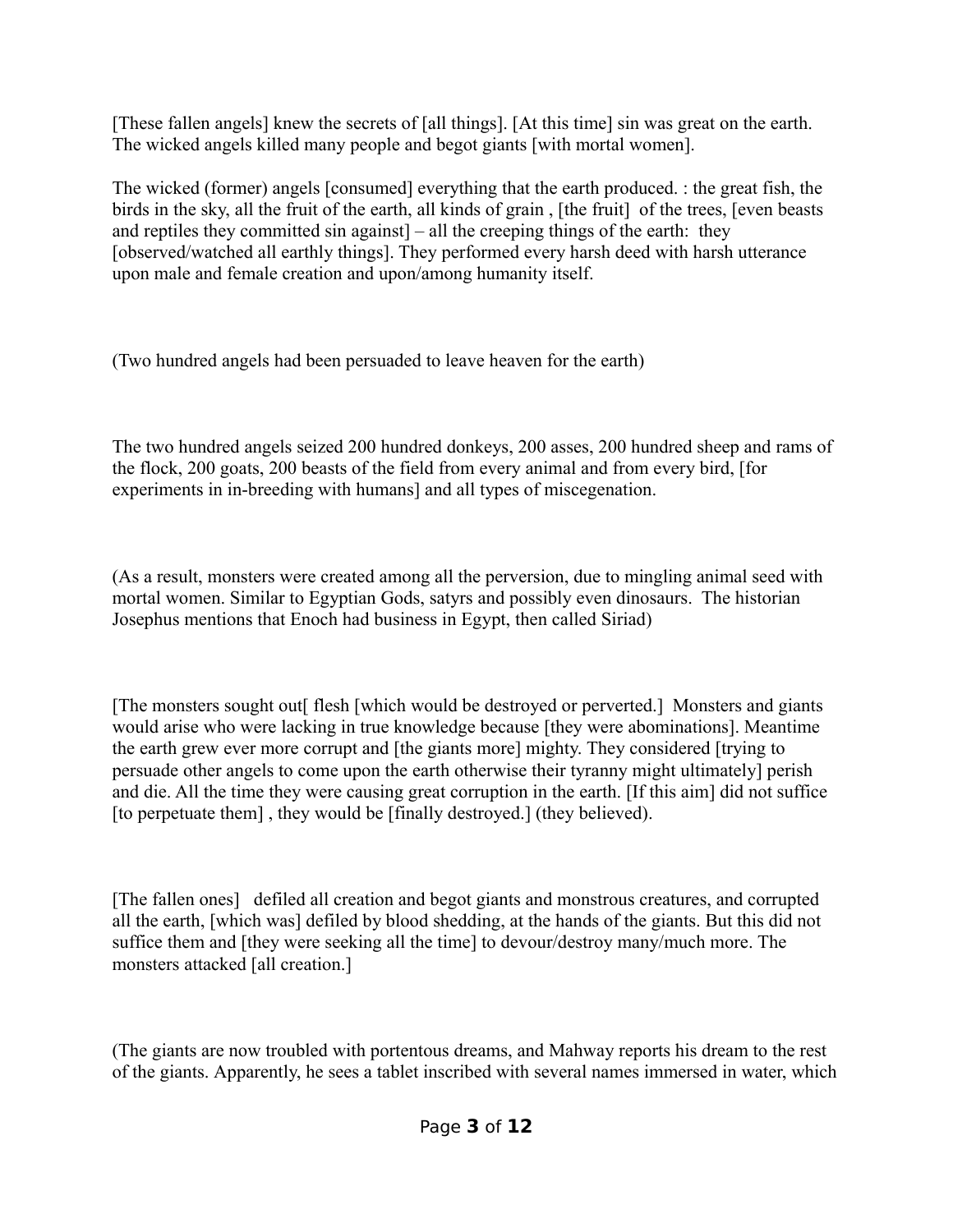[These fallen angels] knew the secrets of [all things]. [At this time] sin was great on the earth. The wicked angels killed many people and begot giants [with mortal women].

The wicked (former) angels [consumed] everything that the earth produced. : the great fish, the birds in the sky, all the fruit of the earth, all kinds of grain , [the fruit] of the trees, [even beasts and reptiles they committed sin against] – all the creeping things of the earth: they [observed/watched all earthly things]. They performed every harsh deed with harsh utterance upon male and female creation and upon/among humanity itself.

(Two hundred angels had been persuaded to leave heaven for the earth)

The two hundred angels seized 200 hundred donkeys, 200 asses, 200 hundred sheep and rams of the flock, 200 goats, 200 beasts of the field from every animal and from every bird, [for experiments in in-breeding with humans] and all types of miscegenation.

(As a result, monsters were created among all the perversion, due to mingling animal seed with mortal women. Similar to Egyptian Gods, satyrs and possibly even dinosaurs. The historian Josephus mentions that Enoch had business in Egypt, then called Siriad)

[The monsters sought out[ flesh [which would be destroyed or perverted.] Monsters and giants would arise who were lacking in true knowledge because [they were abominations]. Meantime the earth grew ever more corrupt and [the giants more] mighty. They considered [trying to persuade other angels to come upon the earth otherwise their tyranny might ultimately] perish and die. All the time they were causing great corruption in the earth. [If this aim] did not suffice [to perpetuate them], they would be [finally destroyed.] (they believed).

[The fallen ones] defiled all creation and begot giants and monstrous creatures, and corrupted all the earth, [which was] defiled by blood shedding, at the hands of the giants. But this did not suffice them and [they were seeking all the time] to devour/destroy many/much more. The monsters attacked [all creation.]

(The giants are now troubled with portentous dreams, and Mahway reports his dream to the rest of the giants. Apparently, he sees a tablet inscribed with several names immersed in water, which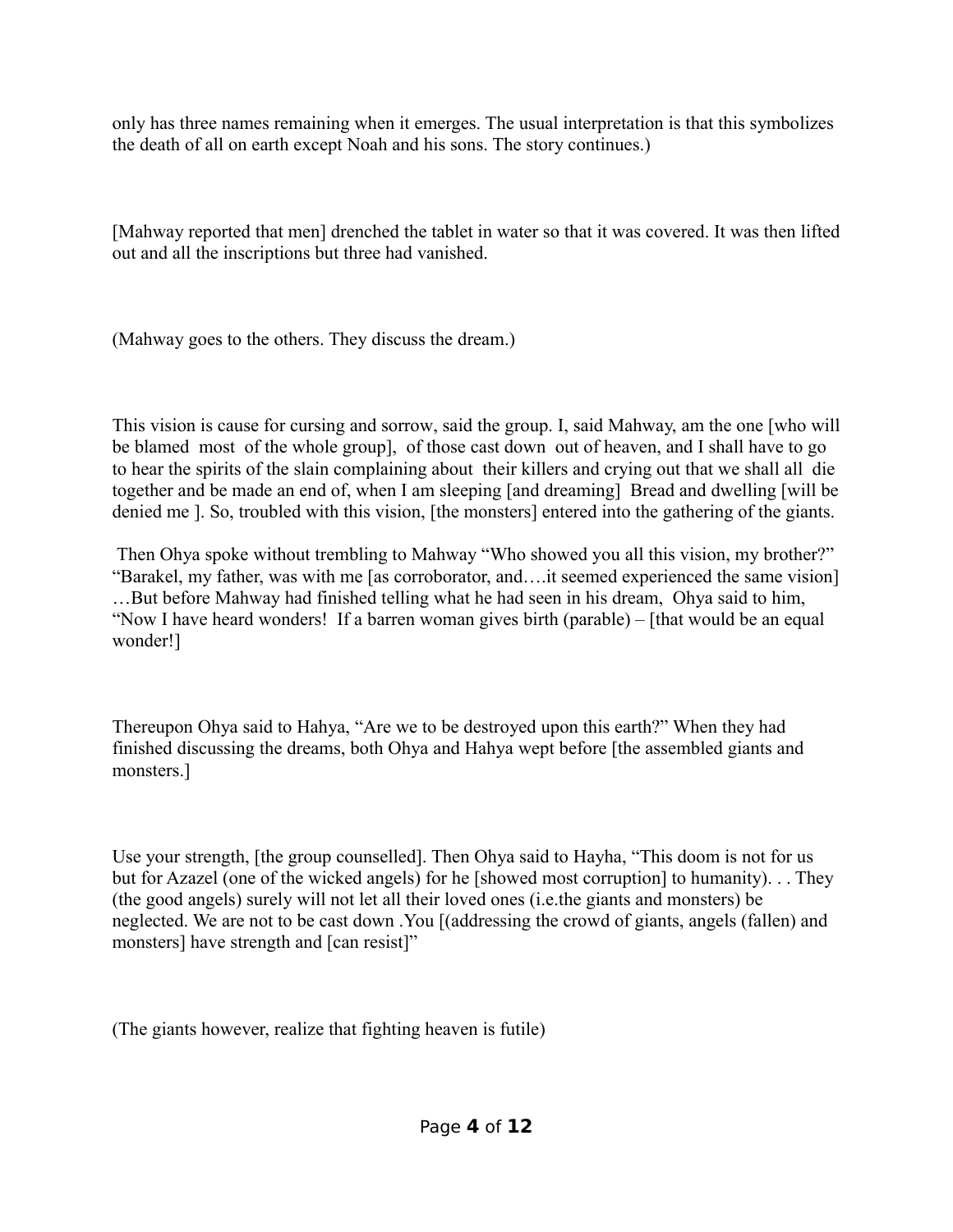only has three names remaining when it emerges. The usual interpretation is that this symbolizes the death of all on earth except Noah and his sons. The story continues.)

[Mahway reported that men] drenched the tablet in water so that it was covered. It was then lifted out and all the inscriptions but three had vanished.

(Mahway goes to the others. They discuss the dream.)

This vision is cause for cursing and sorrow, said the group. I, said Mahway, am the one [who will be blamed most of the whole group], of those cast down out of heaven, and I shall have to go to hear the spirits of the slain complaining about their killers and crying out that we shall all die together and be made an end of, when I am sleeping [and dreaming] Bread and dwelling [will be denied me ]. So, troubled with this vision, [the monsters] entered into the gathering of the giants.

Then Ohya spoke without trembling to Mahway "Who showed you all this vision, my brother?" "Barakel, my father, was with me [as corroborator, and….it seemed experienced the same vision] …But before Mahway had finished telling what he had seen in his dream, Ohya said to him, "Now I have heard wonders! If a barren woman gives birth (parable) – [that would be an equal wonder!]

Thereupon Ohya said to Hahya, "Are we to be destroyed upon this earth?" When they had finished discussing the dreams, both Ohya and Hahya wept before [the assembled giants and monsters.]

Use your strength, [the group counselled]. Then Ohya said to Hayha, "This doom is not for us but for Azazel (one of the wicked angels) for he [showed most corruption] to humanity). . . They (the good angels) surely will not let all their loved ones (i.e.the giants and monsters) be neglected. We are not to be cast down .You [(addressing the crowd of giants, angels (fallen) and monsters] have strength and [can resist]"

(The giants however, realize that fighting heaven is futile)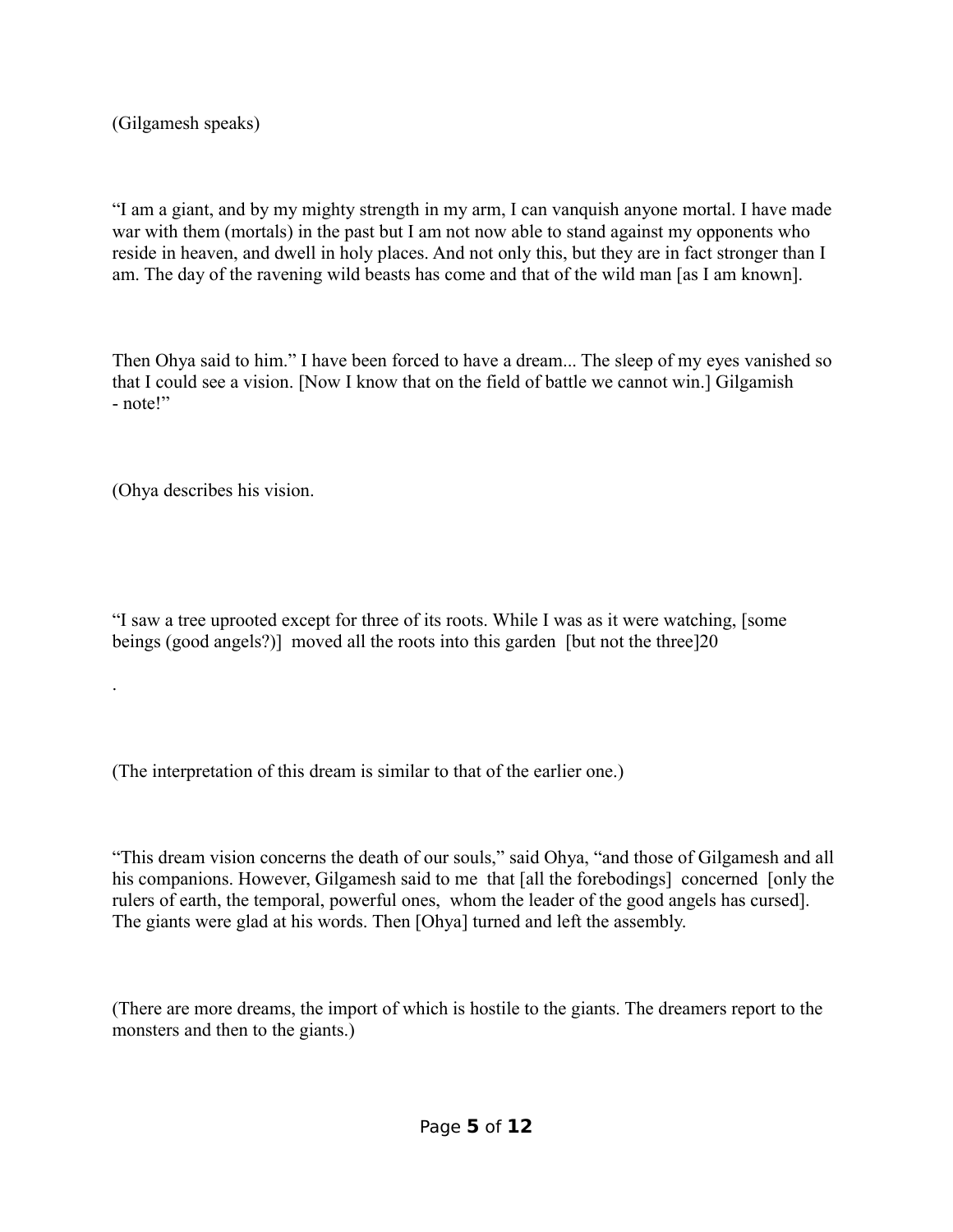(Gilgamesh speaks)

"I am a giant, and by my mighty strength in my arm, I can vanquish anyone mortal. I have made war with them (mortals) in the past but I am not now able to stand against my opponents who reside in heaven, and dwell in holy places. And not only this, but they are in fact stronger than I am. The day of the ravening wild beasts has come and that of the wild man [as I am known].

Then Ohya said to him." I have been forced to have a dream... The sleep of my eyes vanished so that I could see a vision. [Now I know that on the field of battle we cannot win.] Gilgamish - notel"

(Ohya describes his vision.

.

"I saw a tree uprooted except for three of its roots. While I was as it were watching, [some beings (good angels?)] moved all the roots into this garden [but not the three]20

(The interpretation of this dream is similar to that of the earlier one.)

"This dream vision concerns the death of our souls," said Ohya, "and those of Gilgamesh and all his companions. However, Gilgamesh said to me that [all the forebodings] concerned [only the rulers of earth, the temporal, powerful ones, whom the leader of the good angels has cursed]. The giants were glad at his words. Then [Ohya] turned and left the assembly.

(There are more dreams, the import of which is hostile to the giants. The dreamers report to the monsters and then to the giants.)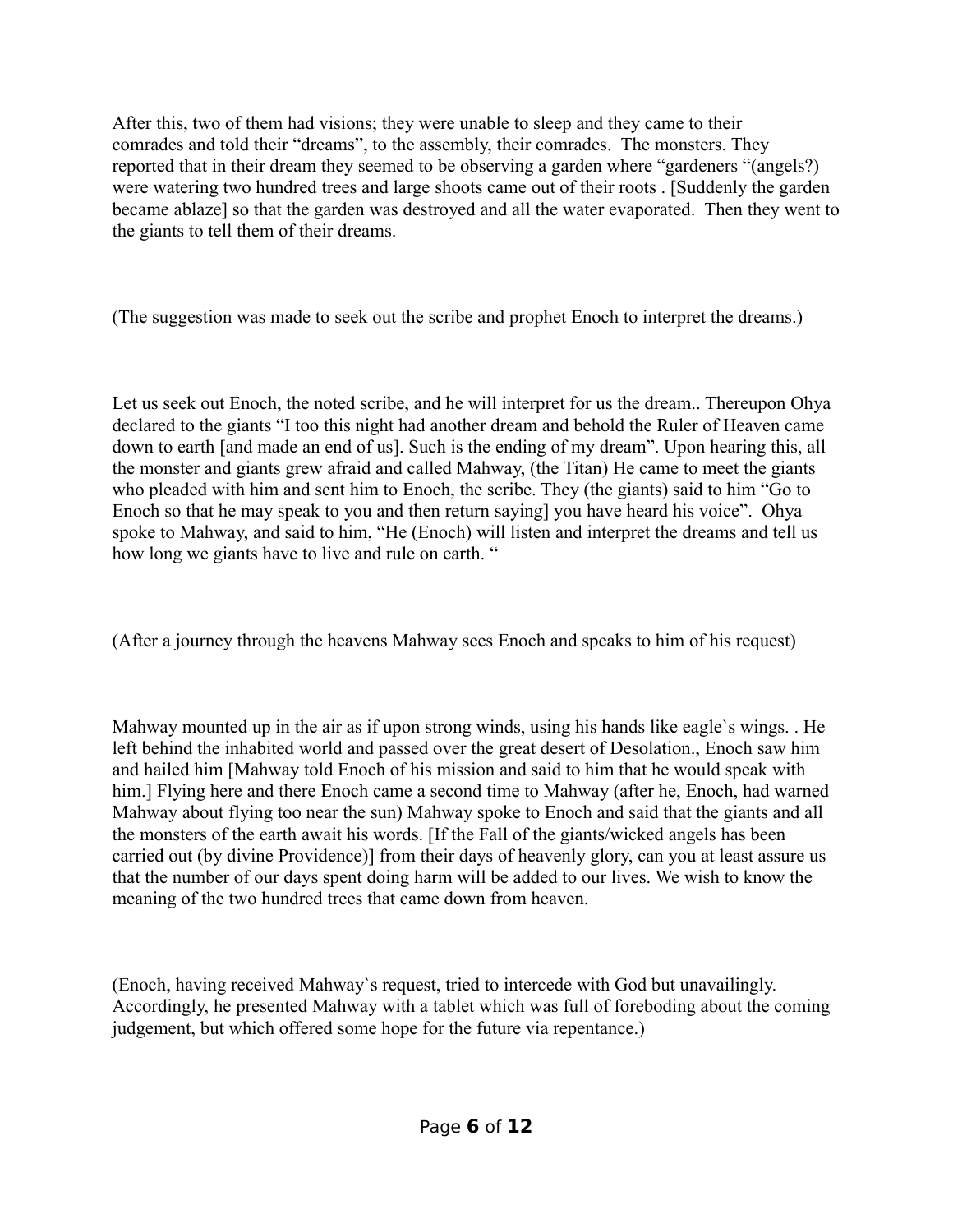After this, two of them had visions; they were unable to sleep and they came to their comrades and told their "dreams", to the assembly, their comrades. The monsters. They reported that in their dream they seemed to be observing a garden where "gardeners "(angels?) were watering two hundred trees and large shoots came out of their roots . [Suddenly the garden became ablaze] so that the garden was destroyed and all the water evaporated. Then they went to the giants to tell them of their dreams.

(The suggestion was made to seek out the scribe and prophet Enoch to interpret the dreams.)

Let us seek out Enoch, the noted scribe, and he will interpret for us the dream.. Thereupon Ohya declared to the giants "I too this night had another dream and behold the Ruler of Heaven came down to earth [and made an end of us]. Such is the ending of my dream". Upon hearing this, all the monster and giants grew afraid and called Mahway, (the Titan) He came to meet the giants who pleaded with him and sent him to Enoch, the scribe. They (the giants) said to him "Go to Enoch so that he may speak to you and then return saying] you have heard his voice". Ohya spoke to Mahway, and said to him, "He (Enoch) will listen and interpret the dreams and tell us how long we giants have to live and rule on earth. "

(After a journey through the heavens Mahway sees Enoch and speaks to him of his request)

Mahway mounted up in the air as if upon strong winds, using his hands like eagle`s wings. . He left behind the inhabited world and passed over the great desert of Desolation., Enoch saw him and hailed him [Mahway told Enoch of his mission and said to him that he would speak with him.] Flying here and there Enoch came a second time to Mahway (after he, Enoch, had warned Mahway about flying too near the sun) Mahway spoke to Enoch and said that the giants and all the monsters of the earth await his words. [If the Fall of the giants/wicked angels has been carried out (by divine Providence)] from their days of heavenly glory, can you at least assure us that the number of our days spent doing harm will be added to our lives. We wish to know the meaning of the two hundred trees that came down from heaven.

(Enoch, having received Mahway`s request, tried to intercede with God but unavailingly. Accordingly, he presented Mahway with a tablet which was full of foreboding about the coming judgement, but which offered some hope for the future via repentance.)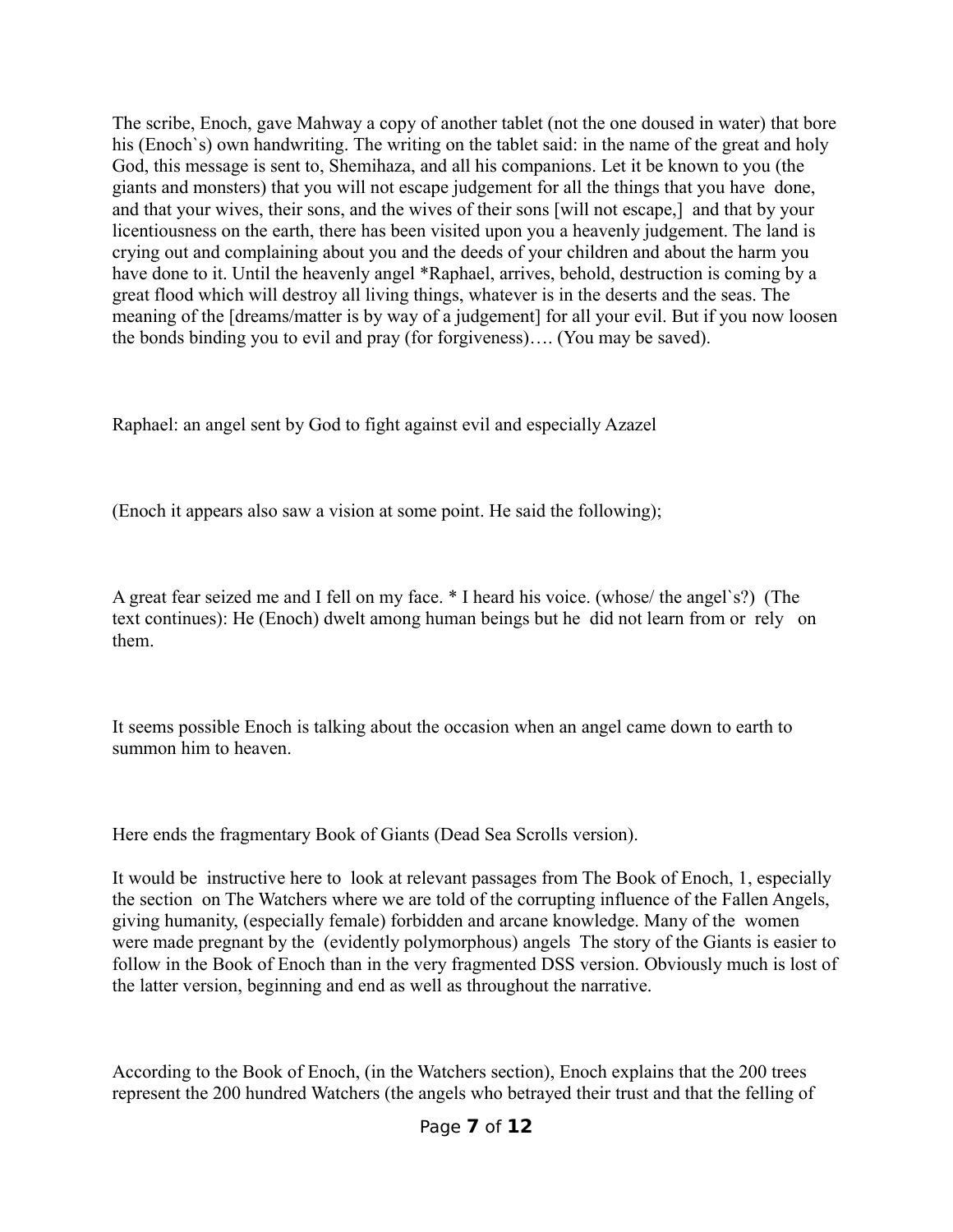The scribe, Enoch, gave Mahway a copy of another tablet (not the one doused in water) that bore his (Enoch's) own handwriting. The writing on the tablet said: in the name of the great and holy God, this message is sent to, Shemihaza, and all his companions. Let it be known to you (the giants and monsters) that you will not escape judgement for all the things that you have done, and that your wives, their sons, and the wives of their sons [will not escape,] and that by your licentiousness on the earth, there has been visited upon you a heavenly judgement. The land is crying out and complaining about you and the deeds of your children and about the harm you have done to it. Until the heavenly angel \*Raphael, arrives, behold, destruction is coming by a great flood which will destroy all living things, whatever is in the deserts and the seas. The meaning of the [dreams/matter is by way of a judgement] for all your evil. But if you now loosen the bonds binding you to evil and pray (for forgiveness)…. (You may be saved).

Raphael: an angel sent by God to fight against evil and especially Azazel

(Enoch it appears also saw a vision at some point. He said the following);

A great fear seized me and I fell on my face. \* I heard his voice. (whose/ the angel`s?) (The text continues): He (Enoch) dwelt among human beings but he did not learn from or rely on them.

It seems possible Enoch is talking about the occasion when an angel came down to earth to summon him to heaven.

Here ends the fragmentary Book of Giants (Dead Sea Scrolls version).

It would be instructive here to look at relevant passages from The Book of Enoch, 1, especially the section on The Watchers where we are told of the corrupting influence of the Fallen Angels, giving humanity, (especially female) forbidden and arcane knowledge. Many of the women were made pregnant by the (evidently polymorphous) angels The story of the Giants is easier to follow in the Book of Enoch than in the very fragmented DSS version. Obviously much is lost of the latter version, beginning and end as well as throughout the narrative.

According to the Book of Enoch, (in the Watchers section), Enoch explains that the 200 trees represent the 200 hundred Watchers (the angels who betrayed their trust and that the felling of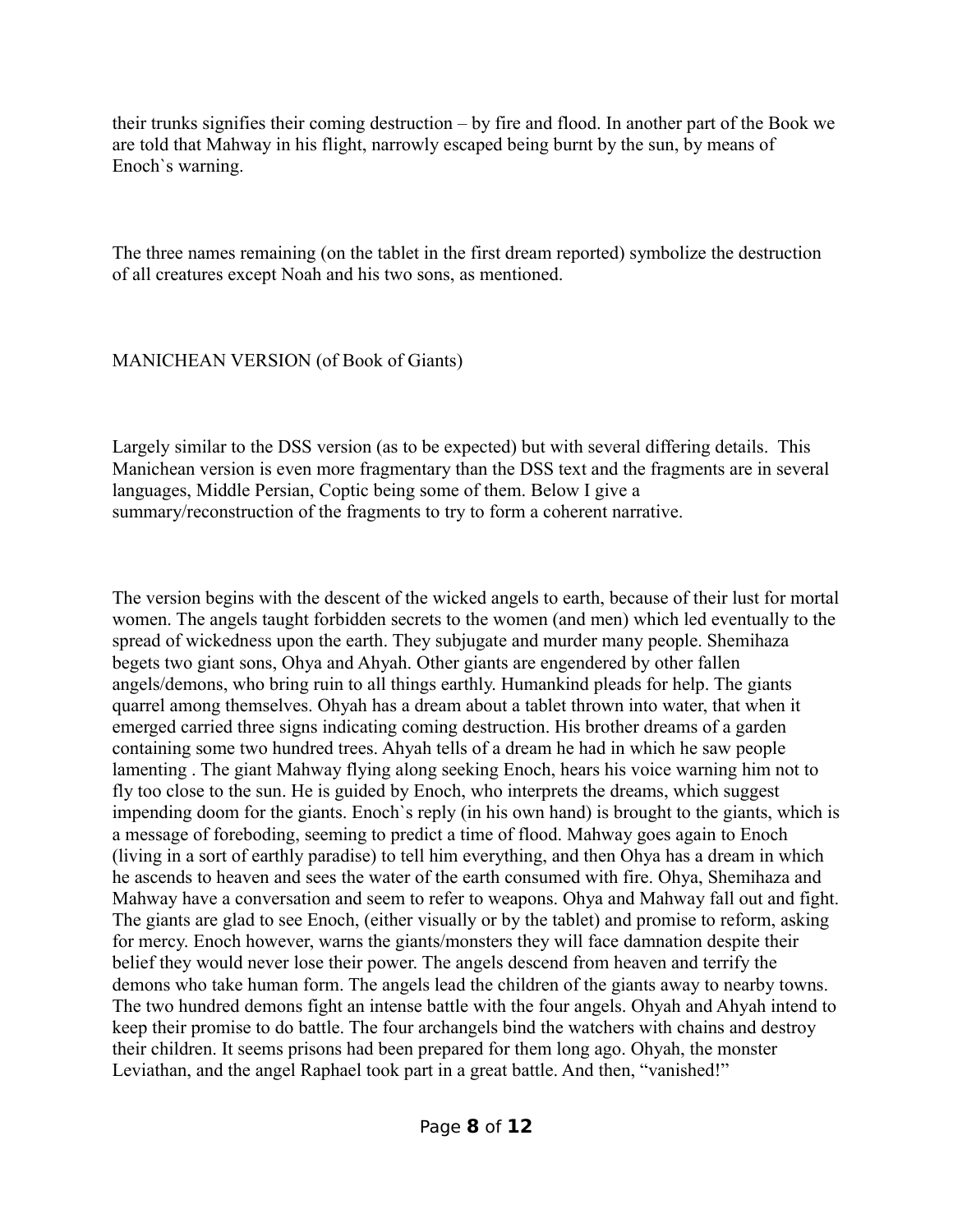their trunks signifies their coming destruction – by fire and flood. In another part of the Book we are told that Mahway in his flight, narrowly escaped being burnt by the sun, by means of Enoch`s warning.

The three names remaining (on the tablet in the first dream reported) symbolize the destruction of all creatures except Noah and his two sons, as mentioned.

MANICHEAN VERSION (of Book of Giants)

Largely similar to the DSS version (as to be expected) but with several differing details. This Manichean version is even more fragmentary than the DSS text and the fragments are in several languages, Middle Persian, Coptic being some of them. Below I give a summary/reconstruction of the fragments to try to form a coherent narrative.

The version begins with the descent of the wicked angels to earth, because of their lust for mortal women. The angels taught forbidden secrets to the women (and men) which led eventually to the spread of wickedness upon the earth. They subjugate and murder many people. Shemihaza begets two giant sons, Ohya and Ahyah. Other giants are engendered by other fallen angels/demons, who bring ruin to all things earthly. Humankind pleads for help. The giants quarrel among themselves. Ohyah has a dream about a tablet thrown into water, that when it emerged carried three signs indicating coming destruction. His brother dreams of a garden containing some two hundred trees. Ahyah tells of a dream he had in which he saw people lamenting . The giant Mahway flying along seeking Enoch, hears his voice warning him not to fly too close to the sun. He is guided by Enoch, who interprets the dreams, which suggest impending doom for the giants. Enoch`s reply (in his own hand) is brought to the giants, which is a message of foreboding, seeming to predict a time of flood. Mahway goes again to Enoch (living in a sort of earthly paradise) to tell him everything, and then Ohya has a dream in which he ascends to heaven and sees the water of the earth consumed with fire. Ohya, Shemihaza and Mahway have a conversation and seem to refer to weapons. Ohya and Mahway fall out and fight. The giants are glad to see Enoch, (either visually or by the tablet) and promise to reform, asking for mercy. Enoch however, warns the giants/monsters they will face damnation despite their belief they would never lose their power. The angels descend from heaven and terrify the demons who take human form. The angels lead the children of the giants away to nearby towns. The two hundred demons fight an intense battle with the four angels. Ohyah and Ahyah intend to keep their promise to do battle. The four archangels bind the watchers with chains and destroy their children. It seems prisons had been prepared for them long ago. Ohyah, the monster Leviathan, and the angel Raphael took part in a great battle. And then, "vanished!"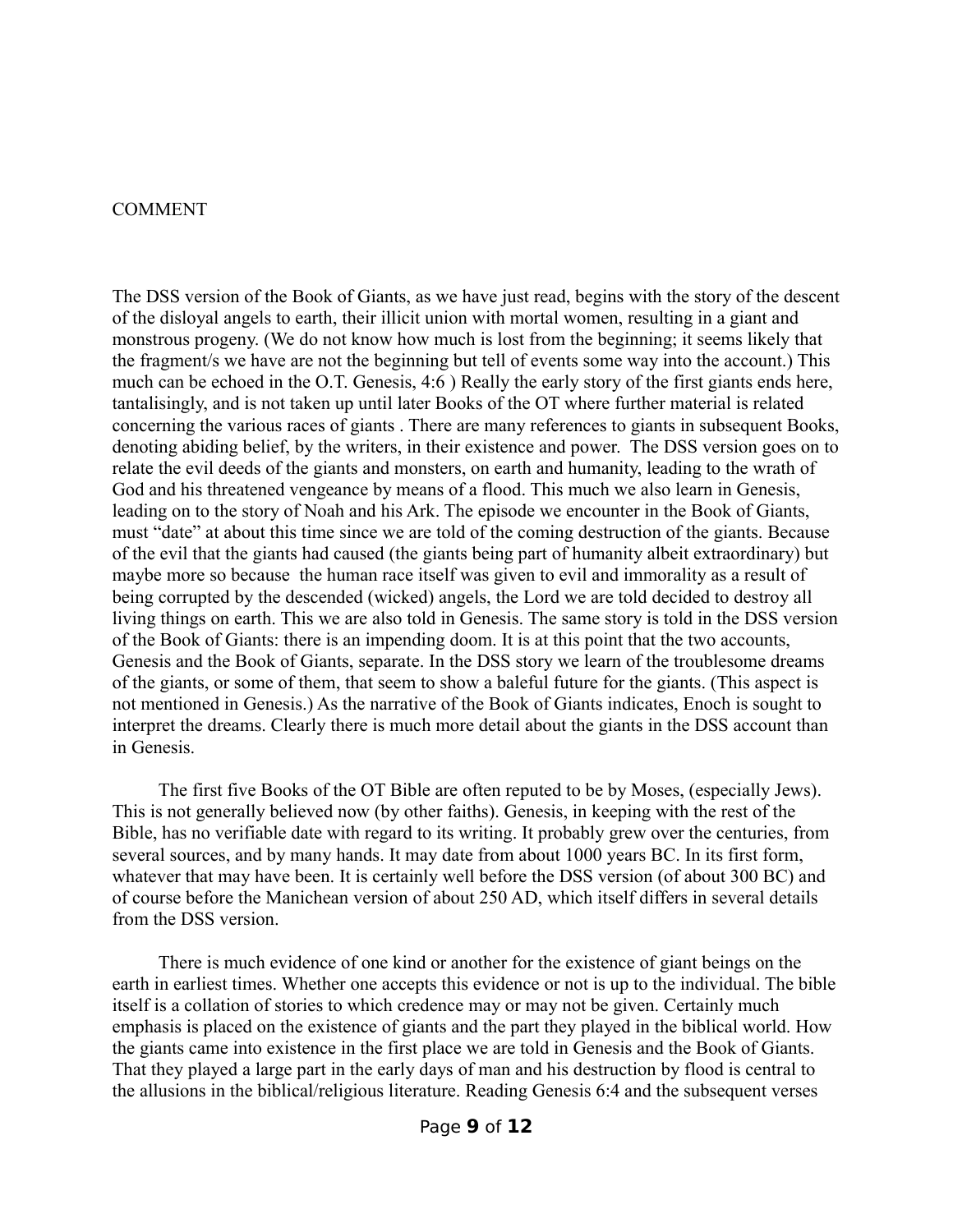#### COMMENT

The DSS version of the Book of Giants, as we have just read, begins with the story of the descent of the disloyal angels to earth, their illicit union with mortal women, resulting in a giant and monstrous progeny. (We do not know how much is lost from the beginning; it seems likely that the fragment/s we have are not the beginning but tell of events some way into the account.) This much can be echoed in the O.T. Genesis, 4:6) Really the early story of the first giants ends here, tantalisingly, and is not taken up until later Books of the OT where further material is related concerning the various races of giants . There are many references to giants in subsequent Books, denoting abiding belief, by the writers, in their existence and power. The DSS version goes on to relate the evil deeds of the giants and monsters, on earth and humanity, leading to the wrath of God and his threatened vengeance by means of a flood. This much we also learn in Genesis, leading on to the story of Noah and his Ark. The episode we encounter in the Book of Giants, must "date" at about this time since we are told of the coming destruction of the giants. Because of the evil that the giants had caused (the giants being part of humanity albeit extraordinary) but maybe more so because the human race itself was given to evil and immorality as a result of being corrupted by the descended (wicked) angels, the Lord we are told decided to destroy all living things on earth. This we are also told in Genesis. The same story is told in the DSS version of the Book of Giants: there is an impending doom. It is at this point that the two accounts, Genesis and the Book of Giants, separate. In the DSS story we learn of the troublesome dreams of the giants, or some of them, that seem to show a baleful future for the giants. (This aspect is not mentioned in Genesis.) As the narrative of the Book of Giants indicates, Enoch is sought to interpret the dreams. Clearly there is much more detail about the giants in the DSS account than in Genesis.

The first five Books of the OT Bible are often reputed to be by Moses, (especially Jews). This is not generally believed now (by other faiths). Genesis, in keeping with the rest of the Bible, has no verifiable date with regard to its writing. It probably grew over the centuries, from several sources, and by many hands. It may date from about 1000 years BC. In its first form, whatever that may have been. It is certainly well before the DSS version (of about 300 BC) and of course before the Manichean version of about 250 AD, which itself differs in several details from the DSS version.

There is much evidence of one kind or another for the existence of giant beings on the earth in earliest times. Whether one accepts this evidence or not is up to the individual. The bible itself is a collation of stories to which credence may or may not be given. Certainly much emphasis is placed on the existence of giants and the part they played in the biblical world. How the giants came into existence in the first place we are told in Genesis and the Book of Giants. That they played a large part in the early days of man and his destruction by flood is central to the allusions in the biblical/religious literature. Reading Genesis 6:4 and the subsequent verses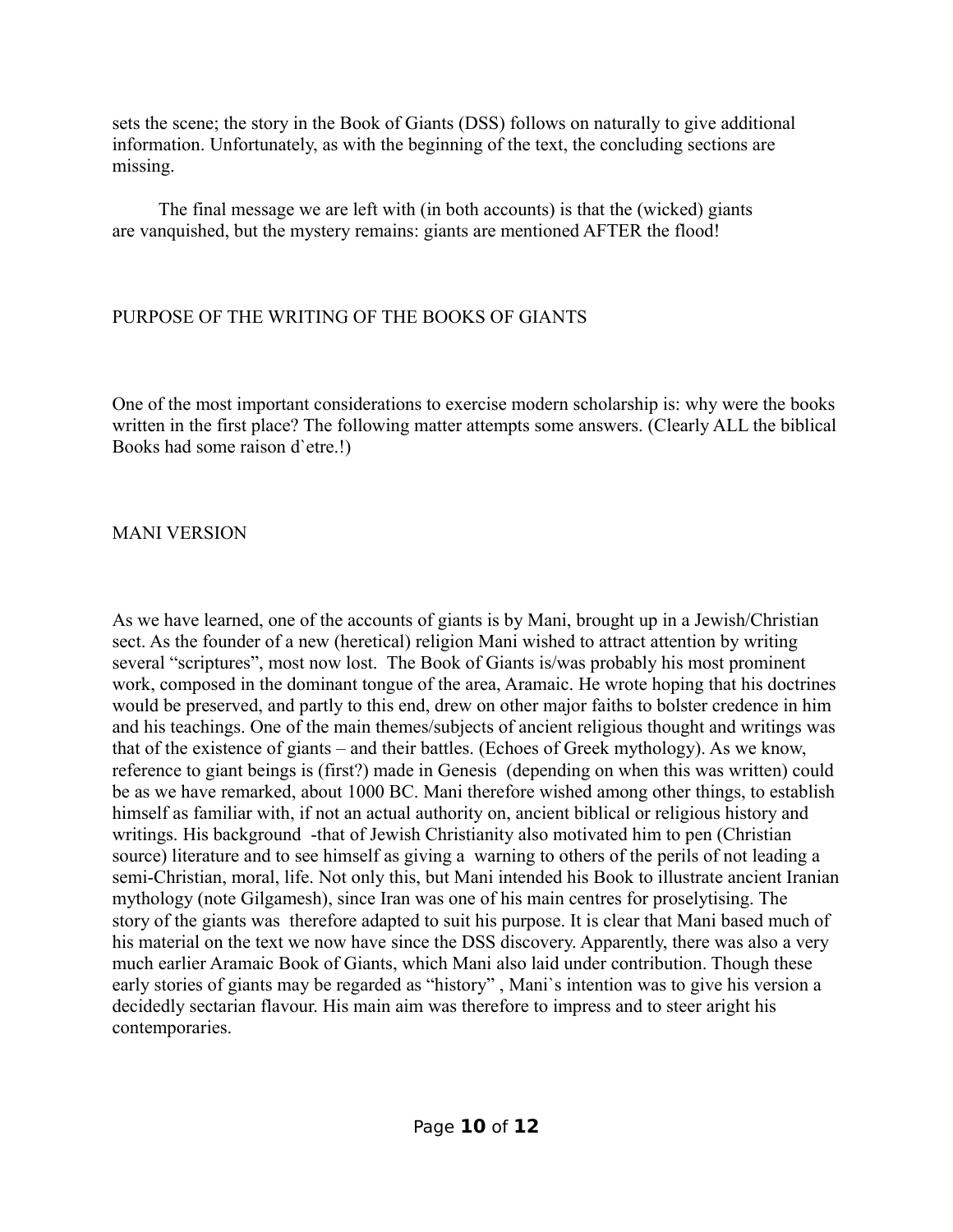sets the scene; the story in the Book of Giants (DSS) follows on naturally to give additional information. Unfortunately, as with the beginning of the text, the concluding sections are missing.

The final message we are left with (in both accounts) is that the (wicked) giants are vanquished, but the mystery remains: giants are mentioned AFTER the flood!

# PURPOSE OF THE WRITING OF THE BOOKS OF GIANTS

One of the most important considerations to exercise modern scholarship is: why were the books written in the first place? The following matter attempts some answers. (Clearly ALL the biblical Books had some raison d`etre.!)

# MANI VERSION

As we have learned, one of the accounts of giants is by Mani, brought up in a Jewish/Christian sect. As the founder of a new (heretical) religion Mani wished to attract attention by writing several "scriptures", most now lost. The Book of Giants is/was probably his most prominent work, composed in the dominant tongue of the area, Aramaic. He wrote hoping that his doctrines would be preserved, and partly to this end, drew on other major faiths to bolster credence in him and his teachings. One of the main themes/subjects of ancient religious thought and writings was that of the existence of giants – and their battles. (Echoes of Greek mythology). As we know, reference to giant beings is (first?) made in Genesis (depending on when this was written) could be as we have remarked, about 1000 BC. Mani therefore wished among other things, to establish himself as familiar with, if not an actual authority on, ancient biblical or religious history and writings. His background -that of Jewish Christianity also motivated him to pen (Christian source) literature and to see himself as giving a warning to others of the perils of not leading a semi-Christian, moral, life. Not only this, but Mani intended his Book to illustrate ancient Iranian mythology (note Gilgamesh), since Iran was one of his main centres for proselytising. The story of the giants was therefore adapted to suit his purpose. It is clear that Mani based much of his material on the text we now have since the DSS discovery. Apparently, there was also a very much earlier Aramaic Book of Giants, which Mani also laid under contribution. Though these early stories of giants may be regarded as "history" , Mani`s intention was to give his version a decidedly sectarian flavour. His main aim was therefore to impress and to steer aright his contemporaries.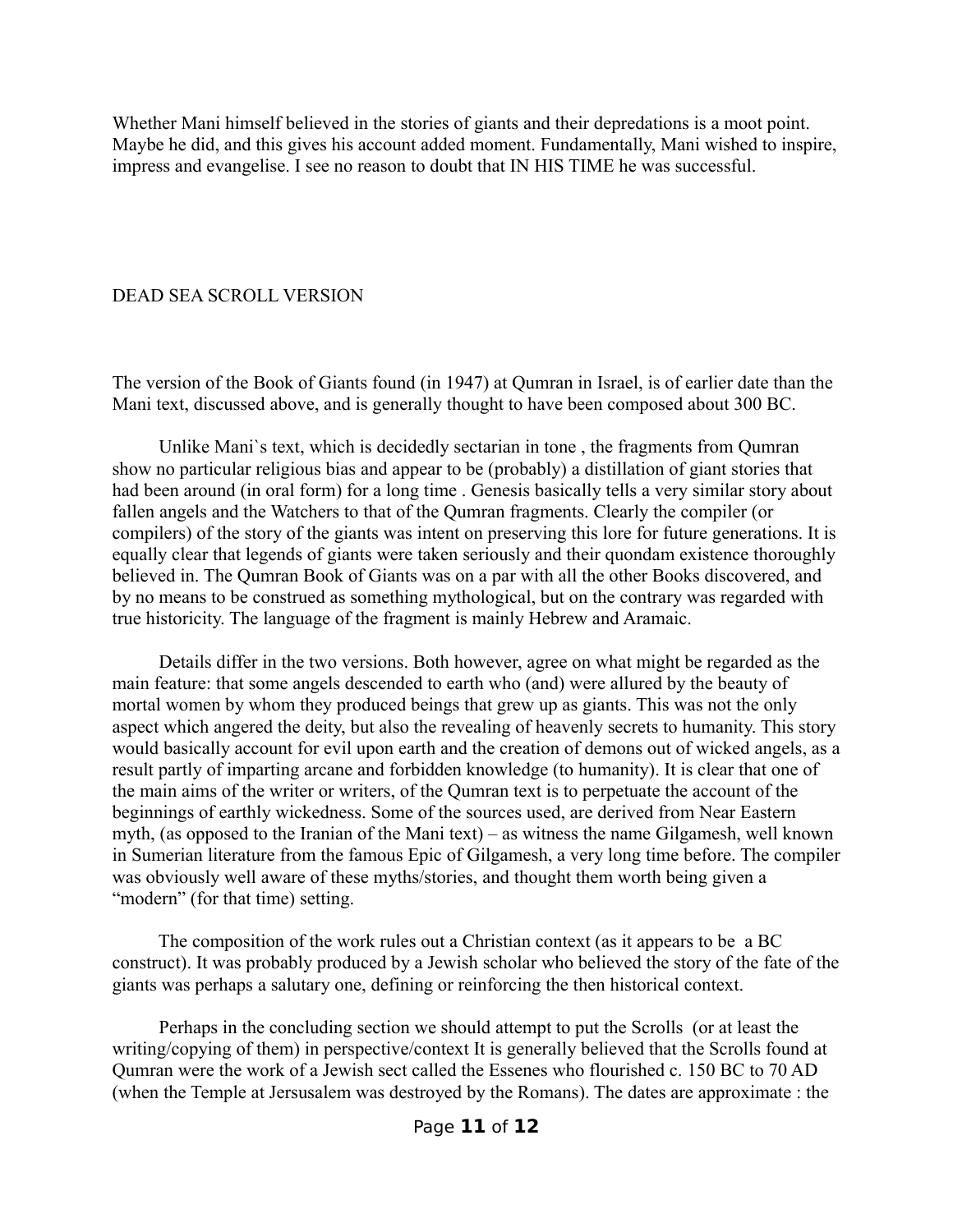Whether Mani himself believed in the stories of giants and their depredations is a moot point. Maybe he did, and this gives his account added moment. Fundamentally, Mani wished to inspire, impress and evangelise. I see no reason to doubt that IN HIS TIME he was successful.

# DEAD SEA SCROLL VERSION

The version of the Book of Giants found (in 1947) at Qumran in Israel, is of earlier date than the Mani text, discussed above, and is generally thought to have been composed about 300 BC.

 Unlike Mani`s text, which is decidedly sectarian in tone , the fragments from Qumran show no particular religious bias and appear to be (probably) a distillation of giant stories that had been around (in oral form) for a long time . Genesis basically tells a very similar story about fallen angels and the Watchers to that of the Qumran fragments. Clearly the compiler (or compilers) of the story of the giants was intent on preserving this lore for future generations. It is equally clear that legends of giants were taken seriously and their quondam existence thoroughly believed in. The Qumran Book of Giants was on a par with all the other Books discovered, and by no means to be construed as something mythological, but on the contrary was regarded with true historicity. The language of the fragment is mainly Hebrew and Aramaic.

 Details differ in the two versions. Both however, agree on what might be regarded as the main feature: that some angels descended to earth who (and) were allured by the beauty of mortal women by whom they produced beings that grew up as giants. This was not the only aspect which angered the deity, but also the revealing of heavenly secrets to humanity. This story would basically account for evil upon earth and the creation of demons out of wicked angels, as a result partly of imparting arcane and forbidden knowledge (to humanity). It is clear that one of the main aims of the writer or writers, of the Qumran text is to perpetuate the account of the beginnings of earthly wickedness. Some of the sources used, are derived from Near Eastern myth, (as opposed to the Iranian of the Mani text) – as witness the name Gilgamesh, well known in Sumerian literature from the famous Epic of Gilgamesh, a very long time before. The compiler was obviously well aware of these myths/stories, and thought them worth being given a "modern" (for that time) setting.

The composition of the work rules out a Christian context (as it appears to be a BC construct). It was probably produced by a Jewish scholar who believed the story of the fate of the giants was perhaps a salutary one, defining or reinforcing the then historical context.

 Perhaps in the concluding section we should attempt to put the Scrolls (or at least the writing/copying of them) in perspective/context It is generally believed that the Scrolls found at Qumran were the work of a Jewish sect called the Essenes who flourished c. 150 BC to 70 AD (when the Temple at Jersusalem was destroyed by the Romans). The dates are approximate : the